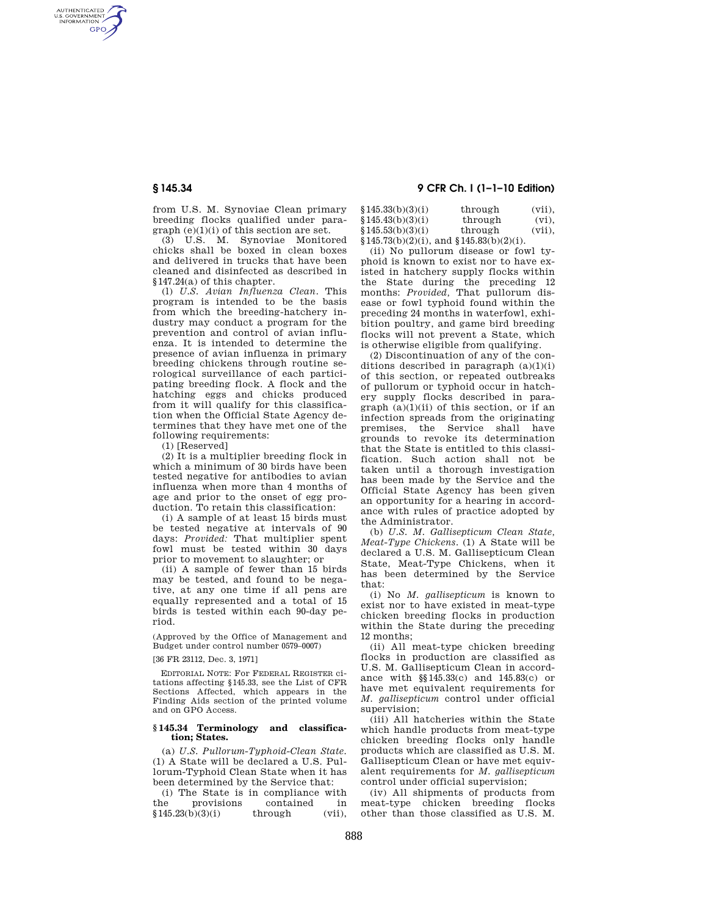AUTHENTICATED<br>U.S. GOVERNMENT<br>INFORMATION **GPO** 

> from U.S. M. Synoviae Clean primary breeding flocks qualified under paragraph (e)(1)(i) of this section are set.

(3) U.S. M. Synoviae Monitored chicks shall be boxed in clean boxes and delivered in trucks that have been cleaned and disinfected as described in §147.24(a) of this chapter.

(l) *U.S. Avian Influenza Clean.* This program is intended to be the basis from which the breeding-hatchery industry may conduct a program for the prevention and control of avian influenza. It is intended to determine the presence of avian influenza in primary breeding chickens through routine serological surveillance of each participating breeding flock. A flock and the hatching eggs and chicks produced from it will qualify for this classification when the Official State Agency determines that they have met one of the following requirements:

(1) [Reserved]

(2) It is a multiplier breeding flock in which a minimum of 30 birds have been tested negative for antibodies to avian influenza when more than 4 months of age and prior to the onset of egg production. To retain this classification:

(i) A sample of at least 15 birds must be tested negative at intervals of 90 days: *Provided:* That multiplier spent fowl must be tested within 30 days prior to movement to slaughter; or

(ii) A sample of fewer than 15 birds may be tested, and found to be negative, at any one time if all pens are equally represented and a total of 15 birds is tested within each 90-day period.

(Approved by the Office of Management and Budget under control number 0579–0007)

#### [36 FR 23112, Dec. 3, 1971]

EDITORIAL NOTE: For FEDERAL REGISTER citations affecting §145.33, see the List of CFR Sections Affected, which appears in the Finding Aids section of the printed volume and on GPO Access.

#### **§ 145.34 Terminology and classification; States.**

(a) *U.S. Pullorum-Typhoid-Clean State.*  (1) A State will be declared a U.S. Pullorum-Typhoid Clean State when it has been determined by the Service that:

(i) The State is in compliance with<br>the provisions contained in provisions contained in<br> $h(3)(i)$  through  $(vii)$  $$145.23(b)(3)(i)$ 

# **§ 145.34 9 CFR Ch. I (1–1–10 Edition)**

| \$145.33(b)(3)(i) | through                                       | $(vii)$ . |
|-------------------|-----------------------------------------------|-----------|
| \$145.43(b)(3)(i) | through                                       | $(vi)$ .  |
| \$145.53(b)(3)(i) | through                                       | $(vii)$ . |
|                   | $§145.73(b)(2)(i)$ , and $§145.83(b)(2)(i)$ . |           |

(ii) No pullorum disease or fowl typhoid is known to exist nor to have existed in hatchery supply flocks within the State during the preceding 12 months: *Provided,* That pullorum disease or fowl typhoid found within the preceding 24 months in waterfowl, exhibition poultry, and game bird breeding flocks will not prevent a State, which is otherwise eligible from qualifying.

(2) Discontinuation of any of the conditions described in paragraph  $(a)(1)(i)$ of this section, or repeated outbreaks of pullorum or typhoid occur in hatchery supply flocks described in paragraph  $(a)(1)(ii)$  of this section, or if an infection spreads from the originating premises, the Service shall have grounds to revoke its determination that the State is entitled to this classification. Such action shall not be taken until a thorough investigation has been made by the Service and the Official State Agency has been given an opportunity for a hearing in accordance with rules of practice adopted by the Administrator.

(b) *U.S. M. Gallisepticum Clean State, Meat-Type Chickens.* (1) A State will be declared a U.S. M. Gallisepticum Clean State, Meat-Type Chickens, when it has been determined by the Service that:

(i) No *M. gallisepticum* is known to exist nor to have existed in meat-type chicken breeding flocks in production within the State during the preceding 12 months;

(ii) All meat-type chicken breeding flocks in production are classified as U.S. M. Gallisepticum Clean in accordance with §§145.33(c) and 145.83(c) or have met equivalent requirements for *M. gallisepticum* control under official supervision;

(iii) All hatcheries within the State which handle products from meat-type chicken breeding flocks only handle products which are classified as U.S. M. Gallisepticum Clean or have met equivalent requirements for *M. gallisepticum*  control under official supervision;

(iv) All shipments of products from meat-type chicken breeding flocks other than those classified as U.S. M.